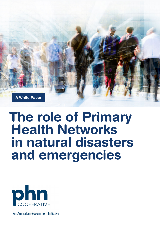

# The role of Primary Health Networks in natural disasters and emergencies



An Australian Government Initiative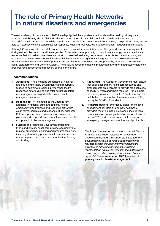## The role of Primary Health Networks in natural disasters and emergencies

The extraordinary circumstances of 2020 have highlighted the important role that should be held by primary care providers and Primary Health Networks (PHNs) during times of crisis. Primary health care is an important part of Australia's healthcare system but while there is much goodwill and commitment from primary care providers, they are not able to maximise existing capabilities for response, relief and recovery, without coordination, leadership and support.

Although Commonwealth and state agencies have the overall responsibility for on-the-ground disaster management, during natural disasters or health emergencies, PHNs offer the opportunity to coordinate a strong primary health care response that will deliver care where and when it is needed, reducing pressure on the acute sector and ensuring an organised and effective response. It is essential that disaster management is integrated and coordinated between all key stakeholders and the role of primary care and PHNs is recognised and supported by all levels of government (local, state/territory and Commonwealth). The following recommendations provide a platform for integrated emergency preparedness, response and recovery efforts in the future.

#### Recommendations

- 1. Authorised: PHNs must be authorised by national, and state and territory governments and recurrently funded to coordinate regional primary healthcare responses before, during and after natural disasters and emergencies, as part of the overall health emergency response.
- 2. Recognised: PHNs should be included as key agencies in national, state and regional health emergency preparedness and response plans with clear, formalised roles and responsibilities. Adequate PHN and primary care representation on relevant planning and preparedness committees is an essential component of disaster management.
- 3. Funded: The Australian Government must fund PHNs and primary healthcare providers to undertake regional emergency planning and preparedness work, including developing primary health preparedness and response plans, and related communication, training and trialling.
- 4. Resourced: The Australian Government must ensure that additional primary healthcare resources and arrangements are available to provide regional surge capacity if, when and where required—for example the funding provided to enable PHNs to manage the distribution of personal protective equipment (PPE) during the COVID-19 pandemic.
- 5. Prepared: Regional emergency plans for effective engagement of PHNs and primary healthcare providers must: be made in advance; include local communication pathways; build on lessons learned during 2020; and be incorporated into existing emergency management structures and protocols.

The Royal Commission into National Natural Disaster Arrangements Report released on 28 October 2020 recommended *"Australian, state and territory governments should develop arrangements that facilitate greater inclusion of primary healthcare providers in disaster management, including: representation on relevant disaster committees and plans and providing training, education and other supports"* Recommendation 15.2: Inclusion of primary care in disaster management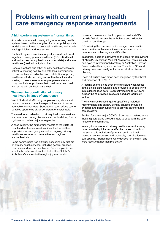### Problems with current primary health care emergency response arrangements

#### A high-performing system—in 'normal' times

Australia is fortunate in having a high-performing health system, based on the strengths of a mixed public–private model, a commitment to universal healthcare, and worldleading clinicians and researchers.

Our health system is at its strongest when all parts work together—namely primary healthcare (GPs, allied health and similar), secondary healthcare (specialists) and acute healthcare (predominantly hospitals).

General practices and other primary health services are critical to ensuring healthy and safe local communities but sub-optimal coordination and distribution of primary healthcare efforts can bring sub-optimal results and a wasting of resources—for example, presentations at busy hospitals for problems that could have been dealt with at the primary healthcare level.

#### The need for coordination of primary healthcare in times of emergency

'Heroic' individual efforts by people working above and beyond normal community expectations are of course admirable, but not ideal. Stand-alone, such efforts cannot be relied upon to be either consistent or sustainable.

The need for coordination of primary healthcare services is exacerbated during disasters such as bushfires, floods, cyclones and other major emergencies.

A case in point, the extraordinary scale of the 2019–20 bushfire disasters exposed significant vulnerabilities in provision of emergency as well as ongoing primary healthcare services in communities and regions across Australia.

Some communities had difficulty accessing any first aid or primary health services, including general practice, pharmacy and mental health care. For example, in one area the bushfires and smoke blocked the St John's Ambulance's access to the region (by road or air).

However, there was no backup plan to use local GPs to provide first aid in case the ambulance and helicopter could not get through.

GPs offering their services in fire-ravaged communities faced barriers with evacuation centre access, provider numbers, and other logistical difficulties.

In addition, decision pathways on the need for deployment of AUSMAT (Australian Medical Assistance Teams, usually deployed to international disasters) or Australian Defence Force medical teams, were unclear. The role of GPs and primary care was usually not included at all in disaster planning.

These difficulties have since been magnified by the threat and presence of COVID-19.

A leading example has been the significant weaknesses in the clinical care available and provided to people living in residential aged care—eventually leading to AUSMAT support being provided in several aged are facilities in Victoria.

The Newmarch House inquiry1 specifically included recommendations on how general practice should be engaged and better supported to provide care for aged care residents.

Further, for some major COVID-19 outbreak clusters, acute (hospital) care alone proved unable to cope with the care needs of the community.

In many instances local primary healthcare services may have provided quicker more effective care—but without the systematic inclusion of primary care in regional management responses and protocols, coordination was sub-optimal. Arrangements were devised 'on the run', and were reactive rather than pro-active.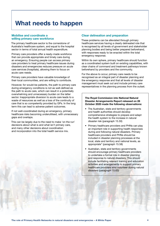## What needs to happen

#### Mobilise and coordinate a willing primary care workforce

The primary healthcare sector is the cornerstone of Australia's healthcare system, and equal to the hospital sector in terms of total annual health expenditure.

Primary care providers offer a ready-made workforce that can provide appropriate and timely care during an emergency. Ensuring people can access primary care providers to treat primary healthcare issues during disasters and emergencies reduces pressure on acute care services (hospitals), allowing them to focus on acute care needs.

Primary care providers have valuable knowledge of their local communities, and are willing to contribute.

However, for would-be patients, the path to primary care during emergency conditions is not as well-defined as the path to acute care, which can result in a potentially overwhelming and unnecessary burden on the latter sector. Inappropriate diversion to acute care leads to a waste of resources as well as a loss of the continuity of care that is so competently provided by GPs. In the long term this can lead to adverse patient outcomes.

If not well-coordinated during an emergency, primary healthcare risks becoming underutilised, with unnecessary gaps and overlaps.

This can be largely due to the need to make 'on the run' decisions about what is and what isn't primary care, and many other decisions about coordination and incorporation into the total health service mix.

#### Clear delineation and preparation

These problems can be alleviated through primary healthcare services having a clearly delineated role that is recognised by all levels of government and stakeholder planning bodies and being better prepared beforehand, with responses ready to be enacted within the total emergency response.

Within its own sphere, primary healthcare should function as a coordinated system built on existing capabilities, with clear chains of command and treatment pathways known beforehand by providers and the community.

For the above to occur, primary care needs to be recognised as an integral part of disaster planning and the emergency response and that all levels of disaster management must seek out and include primary care representatives in the planning process from the outset.

#### The Royal Commission into National Natural Disaster Arrangements Report released on 28 October 2020 made the following observations:

- The Australian, state and territory governments and health authorities should develop comprehensive strategies to prepare and adapt the health system to the increase in natural disaster risk (paragraph 15.30)
- Primary healthcare providers and PHNs can play an important role in supporting health responses during and following natural disasters. Primary healthcare providers and PHNs should be included in disaster planning processes at the local, state and territory and national levels, as appropriate" (paragraph 15.58)
- Australian, state and territory governments should encourage primary healthcare providers to undertake a formal role in disaster planning and response to natural disasters. This should include facilitating relevant training and education activities and arrangements to support primary healthcare providers who volunteer during natural disasters (paragraph 15.63)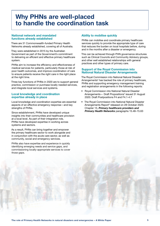### Why PHNs are well-placed to handle the coordination task

#### National network and mandated functions already established

There are 31 Commonwealth-funded Primary Health Networks already established, covering all of Australia.

They were established in 2015 by the Australian Government as part of the Government's commitment to delivering an efficient and effective primary healthcare system.

PHNs aim to increase the efficiency and effectiveness of medical services for patients, particularly those at risk of poor health outcomes, and improve coordination of care to ensure patients receive the right care in the right place at the right time.

Three key functions of PHNs in 2020 are to support general practice, commission or purchase locally needed services, and integrate local services and systems.

#### Local knowledge and coordination expertise already in place

Local knowledge and coordination expertise are essential aspects of an effective emergency response—and key strengths of PHNs.

Since establishment, PHNs have developed unique insights into their communities and healthcare provision at a local level. As part of their integration role, PHNs have developed expertise in working across systems and sectors.

As a result, PHNs can bring together and empower the primary healthcare sector to work alongside and in conjunction with the acute care sector, as well as community, social and emergency services.

PHNs also have expertise and experience in quickly identifying emerging needs and service gaps, and commissioning locally-appropriate services to cover those gaps.

### Ability to mobilise quickly

PHNs can mobilise and coordinate primary healthcare services quickly to provide the appropriate type of care that reduces the burden on local hospitals before, during and in the months after a disaster or emergency.

This can be achieved through PHN governance structures such as Clinical Councils and Community Advisory groups, and other well established relationships with general practices and other types of primary care.

#### Support of the Royal Commission into National Natural Disaster Arrangements

The Royal Commission into National Natural Disaster Arrangements<sup>2</sup> has backed the role of primary healthcare, PHNs and supporting emergency management training and registration arrangements in the following reports:

- Royal Commission into National Natural Disaster Arrangements - Draft Propositions<sup>2</sup> issued 31 August 2020. Draft Postpositions F4 and F4.1-4.7
- The Royal Commission into National Natural Disaster Arrangements Report<sup>3</sup> released on 28 October 2020. Chapter 15, *Primary healthcare providers and Primary Health Networks* paragraphs 15.48–15.63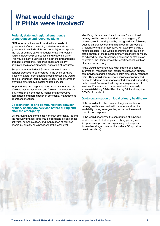### What would change if PHNs were involved?

#### Federal, state and regional emergency preparedness and response plans

PHN representatives would work with all levels of government (Commonwealth, state/territory, state government health districts and councils) to incorporate the role of primary care into federal, state and regional health emergency preparedness and response plans. This would clearly outline roles in both the preparedness and acute emergency response phase and clearly articulate chain of command for activation of resources.

Support from the Federal Government would enable general practices to be prepared in the event of future disasters. Local information and training sessions would be held for primary care providers likely to be involved in providing emergency/disaster-related services.

Preparedness and response plans would set out the role of PHNs themselves during and following an emergency, e.g. inclusion on emergency management executive committees and participation in emergency management operations meetings.

#### Coordination of and communication between primary healthcare services before during and after the emergency

Before, during and immediately after an emergency (during the recovery phase) PHNs would coordinate preparedness activities, communication, and mobilisation of services offered by primary care providers at the local level.

Identifying demand and ideal locations for additional primary healthcare services during an emergency, if required, would be triggered by the agreed lead following existing emergency command and control protocols at a regional or state/territory level. For example, during a natural disaster PHNs would coordinate mobilisation or establishment of the required primary healthcare services, as advised by local emergency operations controllers or equivalent, the Commonwealth Department of Health or other authorised body.

PHNs would coordinate two-way sharing of localised information, messages and intelligence between primary care providers and the broader health emergency response team. They would communicate service availability and needs, to address current or expected demand, supporting better overall 'whole of health system' organisation of services. For example, this has worked successfully when establishing GP-led Respiratory Clinics during the COVID-19 pandemic.

#### Go-to organisation on local primary healthcare

PHNs would act as first points of regional contact on primary healthcare coordination matters and service availability during emergencies, as part of the overall coordinated response.

PHNs would coordinate the contribution of expertise for development of strategies involving primary care (i.e. pandemic preparedness planning and responses for residential aged care facilities where GPs provide care to residents).

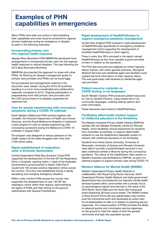### Examples of PHN capabilities in emergencies

Many PHNs have been pro-active in demonstrating their capabilities and what could be achieved for regional primary healthcare during an emergency or disaster, as seen in the following examples.

#### Incorporating primary care into regional health response

Nepean Blue Mountains PHN (NBMPHN) developed local arrangements to incorporate primary care into the regional health response to natural disasters. This was following the 2013 Blue Mountains Bushfires.

NBMPHN documented this approach to share with other PHNs. Its *Planning for disaster management guide for primary care providers and PHNs* can be found [here](http://www.nbmphn.com.au/getattachment/e6974a11-638d-41fe-ab2e-694b86758240/attachment.aspx).

The procedures and arrangements outlined in the document were 'tested' during the 2019–20 bushfires resulting in a much more coordinated and collaborative response compared to 2013. Ongoing participation in preparedness work with primary care providers and the LHD during times of no disaster supported the response role.

#### Care for people experiencing mild coronavirus symptoms during a COVID-19 outbreak

North Western Melbourne PHN worked together with cohealth, the Victorian Department of Health and Human Services, and the Royal Melbourne Hospital to implement a pilot program to care for people experiencing mild coronavirus symptoms during the Melbourne COVID-19 outbreak in August 2020.

The program was designed to reduce pressure on the health system as the state struggled with more than 7,500 active cases.

#### Rapid establishment of respiratory clinic in Emerald, Queensland

Central Queensland Wide Bay Sunshine Coast PHN supported the development of the first GP-led Respiratory Clinic in Australia, opening within 1 week of the Australian Government's announcement in March 2020 that it would fund 100 private practice respiratory clinics across the country. The clinic was established during a rapidly escalating and changing emergency situation.

Within a few months PHNs across the country had supported the establishment of over 140 GP-led respiratory clinics within their regions, demonstrating the agility of PHNs and their strong on-the-ground relationships with General Practitioners.

#### Rapid development of HealthPathways to support emergency pandemic management

Hunter New England PHN invested in rapid development of HealthPathways specifically for emergency pandemic management which supported the development of localised HealthPathways in other regions.

Three in every four GPs surveyed in the region named HealthPathways as the most valuable support provided to them in relation to the pandemic.

The PHN also procured and adapted an online Capacity Status Tracker, with which general practices, Aboriginal Medical Services and residential aged care facilities could update real-time information on their capacity status. This was particularly well-received by residential aged care providers.

#### Patient resource materials on COVID testing, in six languages

South Western Sydney PHN produced patient resources for use by General Practice, using simple text in six community languages, outlining testing options and other information.

These resources were linked to HealthPathways.

#### Facilitating allied health student support of childhood educators in the Kimberley

The Western Australia Primary Health Alliance (WAPHA) worked with the Marialin Kimberley Centre for Remote Health, which facilitates clinical placements for students from Australian universities, to support allied health students to use the HealthDirect telehealth system to interact with childhood educators in the Kimberley.

Students from Notre Dame University, University of Newcastle, University of Sydney and Monash University were able to provide a physiotherapist services to two early childhood centres in Broome during the coronavirus pandemic. The rollout of the HealthDirect video system in Western Australia was facilitated by WAPHA, as part of a national program to support primary care during COVID-19.

#### Western Alliance for Mental Health (WAMH)

Western Queensland Primary Health Network in collaboration with Royal Flying Doctor Services, North Queensland Primary Health Network and state government departments has commissioned low intensity mental health services located within communities with a primary focus on psychological support and services in the wake of the 2019 North, North West and Far North Qld monsoonal event (impacting 39 local council areas). The WAMH hosted a Flood Summit 2019 with key stakeholders nine months post the monsoonal event and developed an action plan for all stakeholders to refer to in relation to planning service responses. The unique position of PHNs provides the ability to respond quickly and commission service responses on the ground to meet the needs of both the general community and high risk population groups.